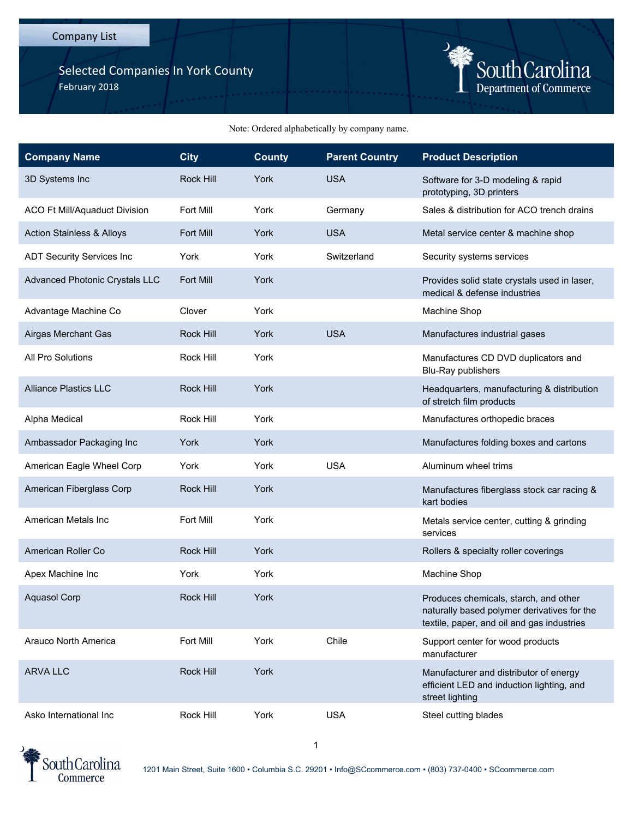Selected Companies In York County February 2018



## Note: Ordered alphabetically by company name.

| <b>Company Name</b>                  | <b>City</b>      | <b>County</b> | <b>Parent Country</b> | <b>Product Description</b>                                                                                                         |
|--------------------------------------|------------------|---------------|-----------------------|------------------------------------------------------------------------------------------------------------------------------------|
| 3D Systems Inc                       | Rock Hill        | York          | <b>USA</b>            | Software for 3-D modeling & rapid<br>prototyping, 3D printers                                                                      |
| ACO Ft Mill/Aquaduct Division        | Fort Mill        | York          | Germany               | Sales & distribution for ACO trench drains                                                                                         |
| <b>Action Stainless &amp; Alloys</b> | <b>Fort Mill</b> | York          | <b>USA</b>            | Metal service center & machine shop                                                                                                |
| <b>ADT Security Services Inc</b>     | York             | York          | Switzerland           | Security systems services                                                                                                          |
| Advanced Photonic Crystals LLC       | <b>Fort Mill</b> | York          |                       | Provides solid state crystals used in laser,<br>medical & defense industries                                                       |
| Advantage Machine Co                 | Clover           | York          |                       | Machine Shop                                                                                                                       |
| Airgas Merchant Gas                  | Rock Hill        | York          | <b>USA</b>            | Manufactures industrial gases                                                                                                      |
| All Pro Solutions                    | Rock Hill        | York          |                       | Manufactures CD DVD duplicators and<br>Blu-Ray publishers                                                                          |
| <b>Alliance Plastics LLC</b>         | <b>Rock Hill</b> | York          |                       | Headquarters, manufacturing & distribution<br>of stretch film products                                                             |
| Alpha Medical                        | Rock Hill        | York          |                       | Manufactures orthopedic braces                                                                                                     |
| Ambassador Packaging Inc             | York             | York          |                       | Manufactures folding boxes and cartons                                                                                             |
| American Eagle Wheel Corp            | York             | York          | <b>USA</b>            | Aluminum wheel trims                                                                                                               |
| American Fiberglass Corp             | Rock Hill        | York          |                       | Manufactures fiberglass stock car racing &<br>kart bodies                                                                          |
| American Metals Inc                  | Fort Mill        | York          |                       | Metals service center, cutting & grinding<br>services                                                                              |
| American Roller Co                   | Rock Hill        | York          |                       | Rollers & specialty roller coverings                                                                                               |
| Apex Machine Inc                     | York             | York          |                       | Machine Shop                                                                                                                       |
| <b>Aquasol Corp</b>                  | Rock Hill        | York          |                       | Produces chemicals, starch, and other<br>naturally based polymer derivatives for the<br>textile, paper, and oil and gas industries |
| Arauco North America                 | Fort Mill        | York          | Chile                 | Support center for wood products<br>manufacturer                                                                                   |
| <b>ARVA LLC</b>                      | Rock Hill        | York          |                       | Manufacturer and distributor of energy<br>efficient LED and induction lighting, and<br>street lighting                             |
| Asko International Inc.              | Rock Hill        | York          | <b>USA</b>            | Steel cutting blades                                                                                                               |

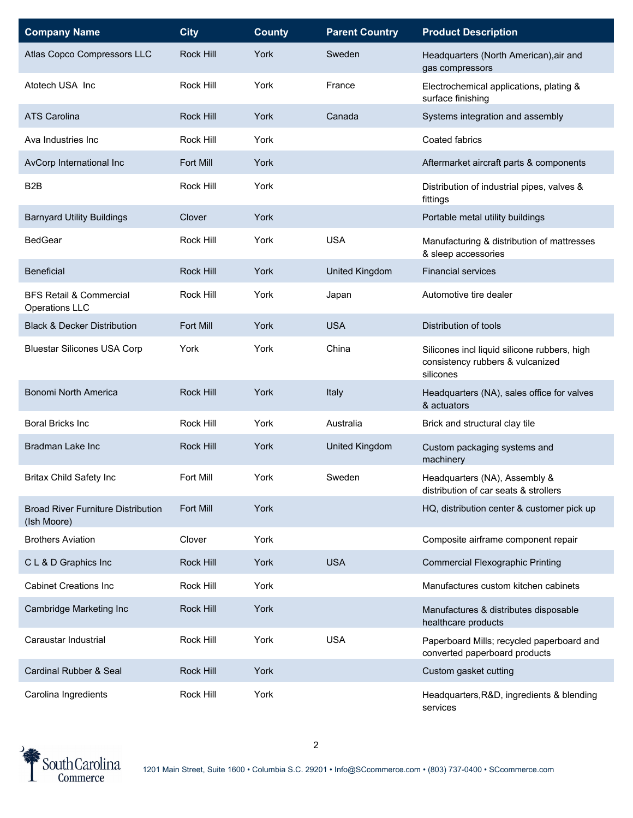| <b>Company Name</b>                                      | <b>City</b>      | <b>County</b> | <b>Parent Country</b> | <b>Product Description</b>                                                                    |
|----------------------------------------------------------|------------------|---------------|-----------------------|-----------------------------------------------------------------------------------------------|
| Atlas Copco Compressors LLC                              | <b>Rock Hill</b> | York          | Sweden                | Headquarters (North American), air and<br>gas compressors                                     |
| Atotech USA Inc                                          | Rock Hill        | York          | France                | Electrochemical applications, plating &<br>surface finishing                                  |
| ATS Carolina                                             | Rock Hill        | York          | Canada                | Systems integration and assembly                                                              |
| Ava Industries Inc.                                      | Rock Hill        | York          |                       | Coated fabrics                                                                                |
| AvCorp International Inc                                 | Fort Mill        | York          |                       | Aftermarket aircraft parts & components                                                       |
| B <sub>2</sub> B                                         | Rock Hill        | York          |                       | Distribution of industrial pipes, valves &<br>fittings                                        |
| <b>Barnyard Utility Buildings</b>                        | Clover           | York          |                       | Portable metal utility buildings                                                              |
| <b>BedGear</b>                                           | Rock Hill        | York          | <b>USA</b>            | Manufacturing & distribution of mattresses<br>& sleep accessories                             |
| <b>Beneficial</b>                                        | <b>Rock Hill</b> | York          | United Kingdom        | <b>Financial services</b>                                                                     |
| <b>BFS Retail &amp; Commercial</b><br>Operations LLC     | Rock Hill        | York          | Japan                 | Automotive tire dealer                                                                        |
| <b>Black &amp; Decker Distribution</b>                   | Fort Mill        | York          | <b>USA</b>            | Distribution of tools                                                                         |
| <b>Bluestar Silicones USA Corp</b>                       | York             | York          | China                 | Silicones incl liquid silicone rubbers, high<br>consistency rubbers & vulcanized<br>silicones |
| Bonomi North America                                     | <b>Rock Hill</b> | York          | Italy                 | Headquarters (NA), sales office for valves<br>& actuators                                     |
| <b>Boral Bricks Inc.</b>                                 | Rock Hill        | York          | Australia             | Brick and structural clay tile                                                                |
| Bradman Lake Inc                                         | Rock Hill        | York          | United Kingdom        | Custom packaging systems and<br>machinery                                                     |
| <b>Britax Child Safety Inc</b>                           | Fort Mill        | York          | Sweden                | Headquarters (NA), Assembly &<br>distribution of car seats & strollers                        |
| <b>Broad River Furniture Distribution</b><br>(Ish Moore) | <b>Fort Mill</b> | York          |                       | HQ, distribution center & customer pick up                                                    |
| <b>Brothers Aviation</b>                                 | Clover           | York          |                       | Composite airframe component repair                                                           |
| C L & D Graphics Inc                                     | Rock Hill        | York          | <b>USA</b>            | <b>Commercial Flexographic Printing</b>                                                       |
| <b>Cabinet Creations Inc</b>                             | Rock Hill        | York          |                       | Manufactures custom kitchen cabinets                                                          |
| Cambridge Marketing Inc                                  | Rock Hill        | York          |                       | Manufactures & distributes disposable<br>healthcare products                                  |
| Caraustar Industrial                                     | Rock Hill        | York          | <b>USA</b>            | Paperboard Mills; recycled paperboard and<br>converted paperboard products                    |
| Cardinal Rubber & Seal                                   | <b>Rock Hill</b> | York          |                       | Custom gasket cutting                                                                         |
| Carolina Ingredients                                     | Rock Hill        | York          |                       | Headquarters, R&D, ingredients & blending<br>services                                         |

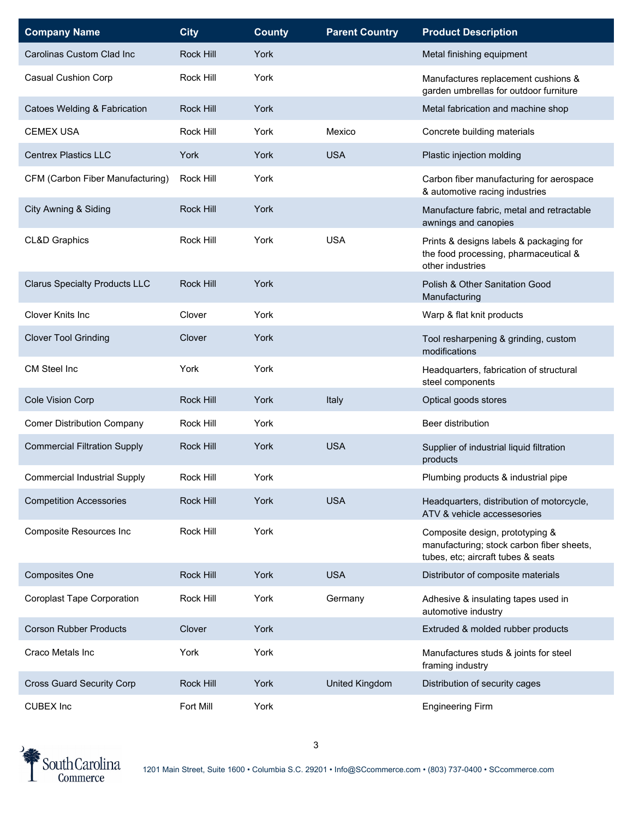| <b>Company Name</b>                  | <b>City</b>      | <b>County</b> | <b>Parent Country</b> | <b>Product Description</b>                                                                                         |
|--------------------------------------|------------------|---------------|-----------------------|--------------------------------------------------------------------------------------------------------------------|
| Carolinas Custom Clad Inc            | <b>Rock Hill</b> | York          |                       | Metal finishing equipment                                                                                          |
| Casual Cushion Corp                  | Rock Hill        | York          |                       | Manufactures replacement cushions &<br>garden umbrellas for outdoor furniture                                      |
| Catoes Welding & Fabrication         | <b>Rock Hill</b> | York          |                       | Metal fabrication and machine shop                                                                                 |
| <b>CEMEX USA</b>                     | Rock Hill        | York          | Mexico                | Concrete building materials                                                                                        |
| <b>Centrex Plastics LLC</b>          | York             | York          | <b>USA</b>            | Plastic injection molding                                                                                          |
| CFM (Carbon Fiber Manufacturing)     | Rock Hill        | York          |                       | Carbon fiber manufacturing for aerospace<br>& automotive racing industries                                         |
| City Awning & Siding                 | Rock Hill        | York          |                       | Manufacture fabric, metal and retractable<br>awnings and canopies                                                  |
| CL&D Graphics                        | Rock Hill        | York          | <b>USA</b>            | Prints & designs labels & packaging for<br>the food processing, pharmaceutical &<br>other industries               |
| <b>Clarus Specialty Products LLC</b> | Rock Hill        | York          |                       | Polish & Other Sanitation Good<br>Manufacturing                                                                    |
| <b>Clover Knits Inc.</b>             | Clover           | York          |                       | Warp & flat knit products                                                                                          |
| <b>Clover Tool Grinding</b>          | Clover           | York          |                       | Tool resharpening & grinding, custom<br>modifications                                                              |
| CM Steel Inc                         | York             | York          |                       | Headquarters, fabrication of structural<br>steel components                                                        |
| Cole Vision Corp                     | Rock Hill        | York          | Italy                 | Optical goods stores                                                                                               |
| <b>Comer Distribution Company</b>    | Rock Hill        | York          |                       | Beer distribution                                                                                                  |
| <b>Commercial Filtration Supply</b>  | <b>Rock Hill</b> | York          | <b>USA</b>            | Supplier of industrial liquid filtration<br>products                                                               |
| <b>Commercial Industrial Supply</b>  | Rock Hill        | York          |                       | Plumbing products & industrial pipe                                                                                |
| <b>Competition Accessories</b>       | Rock Hill        | York          | <b>USA</b>            | Headquarters, distribution of motorcycle,<br>ATV & vehicle accessesories                                           |
| Composite Resources Inc              | Rock Hill        | York          |                       | Composite design, prototyping &<br>manufacturing; stock carbon fiber sheets,<br>tubes, etc; aircraft tubes & seats |
| <b>Composites One</b>                | Rock Hill        | York          | <b>USA</b>            | Distributor of composite materials                                                                                 |
| <b>Coroplast Tape Corporation</b>    | Rock Hill        | York          | Germany               | Adhesive & insulating tapes used in<br>automotive industry                                                         |
| <b>Corson Rubber Products</b>        | Clover           | York          |                       | Extruded & molded rubber products                                                                                  |
| Craco Metals Inc                     | York             | York          |                       | Manufactures studs & joints for steel<br>framing industry                                                          |
| <b>Cross Guard Security Corp</b>     | Rock Hill        | York          | United Kingdom        | Distribution of security cages                                                                                     |
| <b>CUBEX Inc</b>                     | Fort Mill        | York          |                       | <b>Engineering Firm</b>                                                                                            |

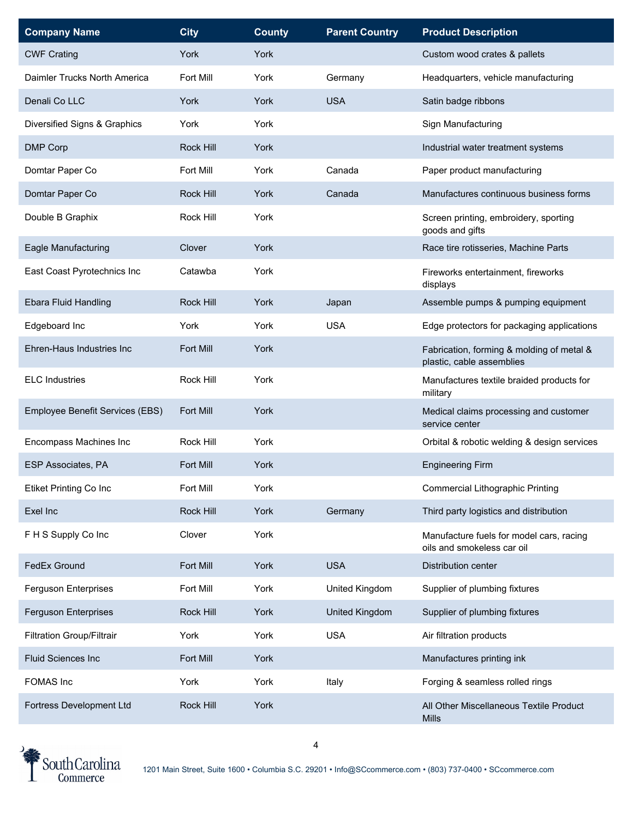| <b>Company Name</b>              | <b>City</b>      | <b>County</b> | <b>Parent Country</b> | <b>Product Description</b>                                             |
|----------------------------------|------------------|---------------|-----------------------|------------------------------------------------------------------------|
| <b>CWF Crating</b>               | York             | York          |                       | Custom wood crates & pallets                                           |
| Daimler Trucks North America     | Fort Mill        | York          | Germany               | Headquarters, vehicle manufacturing                                    |
| Denali Co LLC                    | York             | York          | <b>USA</b>            | Satin badge ribbons                                                    |
| Diversified Signs & Graphics     | York             | York          |                       | Sign Manufacturing                                                     |
| <b>DMP Corp</b>                  | Rock Hill        | York          |                       | Industrial water treatment systems                                     |
| Domtar Paper Co                  | Fort Mill        | York          | Canada                | Paper product manufacturing                                            |
| Domtar Paper Co                  | <b>Rock Hill</b> | York          | Canada                | Manufactures continuous business forms                                 |
| Double B Graphix                 | Rock Hill        | York          |                       | Screen printing, embroidery, sporting<br>goods and gifts               |
| Eagle Manufacturing              | Clover           | York          |                       | Race tire rotisseries, Machine Parts                                   |
| East Coast Pyrotechnics Inc      | Catawba          | York          |                       | Fireworks entertainment, fireworks<br>displays                         |
| Ebara Fluid Handling             | <b>Rock Hill</b> | York          | Japan                 | Assemble pumps & pumping equipment                                     |
| Edgeboard Inc                    | York             | York          | <b>USA</b>            | Edge protectors for packaging applications                             |
| Ehren-Haus Industries Inc        | Fort Mill        | York          |                       | Fabrication, forming & molding of metal &<br>plastic, cable assemblies |
| <b>ELC</b> Industries            | Rock Hill        | York          |                       | Manufactures textile braided products for<br>military                  |
| Employee Benefit Services (EBS)  | Fort Mill        | York          |                       | Medical claims processing and customer<br>service center               |
| Encompass Machines Inc           | Rock Hill        | York          |                       | Orbital & robotic welding & design services                            |
| ESP Associates, PA               | <b>Fort Mill</b> | York          |                       | <b>Engineering Firm</b>                                                |
| Etiket Printing Co Inc           | Fort Mill        | York          |                       | <b>Commercial Lithographic Printing</b>                                |
| Exel Inc                         | Rock Hill        | York          | Germany               | Third party logistics and distribution                                 |
| F H S Supply Co Inc              | Clover           | York          |                       | Manufacture fuels for model cars, racing<br>oils and smokeless car oil |
| FedEx Ground                     | Fort Mill        | York          | <b>USA</b>            | Distribution center                                                    |
| Ferguson Enterprises             | Fort Mill        | York          | United Kingdom        | Supplier of plumbing fixtures                                          |
| Ferguson Enterprises             | Rock Hill        | York          | <b>United Kingdom</b> | Supplier of plumbing fixtures                                          |
| <b>Filtration Group/Filtrair</b> | York             | York          | <b>USA</b>            | Air filtration products                                                |
| <b>Fluid Sciences Inc</b>        | Fort Mill        | York          |                       | Manufactures printing ink                                              |
| <b>FOMAS</b> Inc                 | York             | York          | Italy                 | Forging & seamless rolled rings                                        |
| Fortress Development Ltd         | Rock Hill        | York          |                       | All Other Miscellaneous Textile Product<br><b>Mills</b>                |

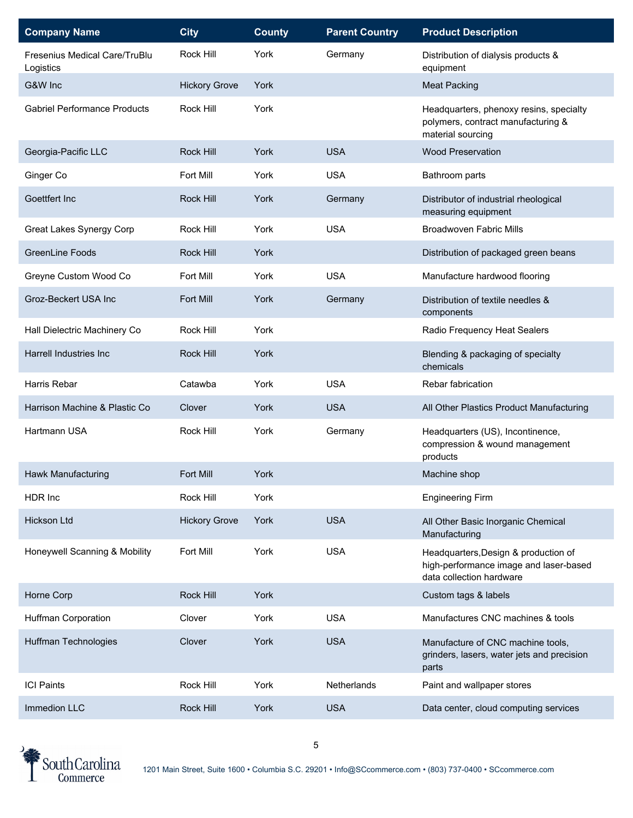| <b>Company Name</b>                        | <b>City</b>          | <b>County</b> | <b>Parent Country</b> | <b>Product Description</b>                                                                                 |
|--------------------------------------------|----------------------|---------------|-----------------------|------------------------------------------------------------------------------------------------------------|
| Fresenius Medical Care/TruBlu<br>Logistics | Rock Hill            | York          | Germany               | Distribution of dialysis products &<br>equipment                                                           |
| G&W Inc                                    | <b>Hickory Grove</b> | York          |                       | <b>Meat Packing</b>                                                                                        |
| <b>Gabriel Performance Products</b>        | Rock Hill            | York          |                       | Headquarters, phenoxy resins, specialty<br>polymers, contract manufacturing &<br>material sourcing         |
| Georgia-Pacific LLC                        | Rock Hill            | York          | <b>USA</b>            | <b>Wood Preservation</b>                                                                                   |
| Ginger Co                                  | Fort Mill            | York          | <b>USA</b>            | Bathroom parts                                                                                             |
| Goettfert Inc                              | Rock Hill            | York          | Germany               | Distributor of industrial rheological<br>measuring equipment                                               |
| Great Lakes Synergy Corp                   | Rock Hill            | York          | <b>USA</b>            | <b>Broadwoven Fabric Mills</b>                                                                             |
| <b>GreenLine Foods</b>                     | <b>Rock Hill</b>     | York          |                       | Distribution of packaged green beans                                                                       |
| Greyne Custom Wood Co                      | Fort Mill            | York          | <b>USA</b>            | Manufacture hardwood flooring                                                                              |
| Groz-Beckert USA Inc                       | Fort Mill            | York          | Germany               | Distribution of textile needles &<br>components                                                            |
| Hall Dielectric Machinery Co               | Rock Hill            | York          |                       | Radio Frequency Heat Sealers                                                                               |
| Harrell Industries Inc                     | <b>Rock Hill</b>     | York          |                       | Blending & packaging of specialty<br>chemicals                                                             |
| Harris Rebar                               | Catawba              | York          | <b>USA</b>            | Rebar fabrication                                                                                          |
| Harrison Machine & Plastic Co              | Clover               | York          | <b>USA</b>            | All Other Plastics Product Manufacturing                                                                   |
| Hartmann USA                               | Rock Hill            | York          | Germany               | Headquarters (US), Incontinence,<br>compression & wound management<br>products                             |
| Hawk Manufacturing                         | Fort Mill            | York          |                       | Machine shop                                                                                               |
| HDR Inc                                    | Rock Hill            | York          |                       | <b>Engineering Firm</b>                                                                                    |
| Hickson Ltd                                | <b>Hickory Grove</b> | York          | <b>USA</b>            | All Other Basic Inorganic Chemical<br>Manufacturing                                                        |
| Honeywell Scanning & Mobility              | Fort Mill            | York          | <b>USA</b>            | Headquarters, Design & production of<br>high-performance image and laser-based<br>data collection hardware |
| Horne Corp                                 | Rock Hill            | York          |                       | Custom tags & labels                                                                                       |
| Huffman Corporation                        | Clover               | York          | <b>USA</b>            | Manufactures CNC machines & tools                                                                          |
| Huffman Technologies                       | Clover               | York          | <b>USA</b>            | Manufacture of CNC machine tools,<br>grinders, lasers, water jets and precision<br>parts                   |
| <b>ICI Paints</b>                          | Rock Hill            | York          | Netherlands           | Paint and wallpaper stores                                                                                 |
| Immedion LLC                               | Rock Hill            | York          | <b>USA</b>            | Data center, cloud computing services                                                                      |

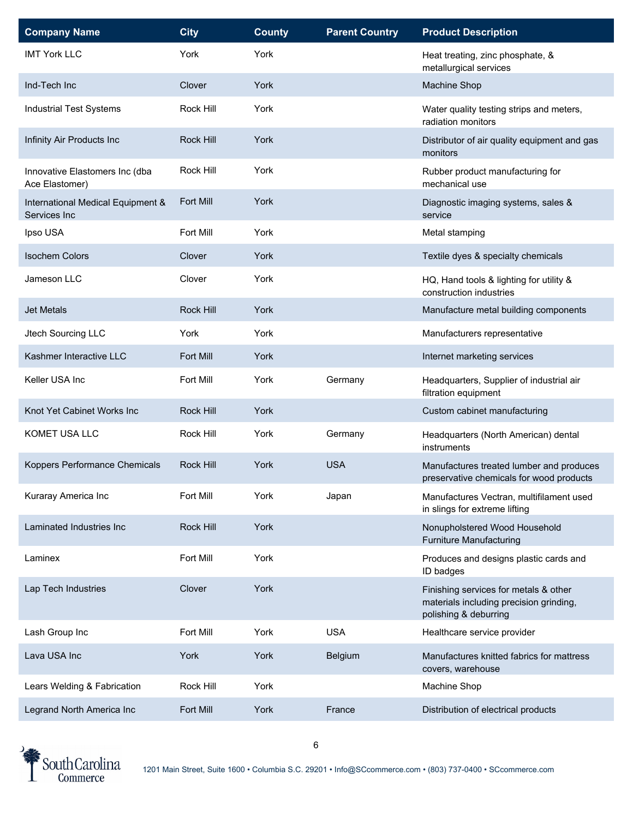| <b>Company Name</b>                               | <b>City</b>      | <b>County</b> | <b>Parent Country</b> | <b>Product Description</b>                                                                                |
|---------------------------------------------------|------------------|---------------|-----------------------|-----------------------------------------------------------------------------------------------------------|
| <b>IMT York LLC</b>                               | York             | York          |                       | Heat treating, zinc phosphate, &<br>metallurgical services                                                |
| Ind-Tech Inc                                      | Clover           | York          |                       | Machine Shop                                                                                              |
| Industrial Test Systems                           | Rock Hill        | York          |                       | Water quality testing strips and meters,<br>radiation monitors                                            |
| Infinity Air Products Inc                         | <b>Rock Hill</b> | York          |                       | Distributor of air quality equipment and gas<br>monitors                                                  |
| Innovative Elastomers Inc (dba<br>Ace Elastomer)  | Rock Hill        | York          |                       | Rubber product manufacturing for<br>mechanical use                                                        |
| International Medical Equipment &<br>Services Inc | <b>Fort Mill</b> | York          |                       | Diagnostic imaging systems, sales &<br>service                                                            |
| Ipso USA                                          | Fort Mill        | York          |                       | Metal stamping                                                                                            |
| <b>Isochem Colors</b>                             | Clover           | York          |                       | Textile dyes & specialty chemicals                                                                        |
| Jameson LLC                                       | Clover           | York          |                       | HQ, Hand tools & lighting for utility &<br>construction industries                                        |
| <b>Jet Metals</b>                                 | Rock Hill        | York          |                       | Manufacture metal building components                                                                     |
| Jtech Sourcing LLC                                | York             | York          |                       | Manufacturers representative                                                                              |
| Kashmer Interactive LLC                           | <b>Fort Mill</b> | York          |                       | Internet marketing services                                                                               |
| Keller USA Inc                                    | Fort Mill        | York          | Germany               | Headquarters, Supplier of industrial air<br>filtration equipment                                          |
| Knot Yet Cabinet Works Inc                        | <b>Rock Hill</b> | York          |                       | Custom cabinet manufacturing                                                                              |
| KOMET USA LLC                                     | Rock Hill        | York          | Germany               | Headquarters (North American) dental<br>instruments                                                       |
| Koppers Performance Chemicals                     | <b>Rock Hill</b> | York          | <b>USA</b>            | Manufactures treated lumber and produces<br>preservative chemicals for wood products                      |
| Kuraray America Inc                               | Fort Mill        | York          | Japan                 | Manufactures Vectran, multifilament used<br>in slings for extreme lifting                                 |
| Laminated Industries Inc                          | Rock Hill        | York          |                       | Nonupholstered Wood Household<br><b>Furniture Manufacturing</b>                                           |
| Laminex                                           | Fort Mill        | York          |                       | Produces and designs plastic cards and<br>ID badges                                                       |
| Lap Tech Industries                               | Clover           | York          |                       | Finishing services for metals & other<br>materials including precision grinding,<br>polishing & deburring |
| Lash Group Inc                                    | Fort Mill        | York          | <b>USA</b>            | Healthcare service provider                                                                               |
| Lava USA Inc                                      | York             | York          | Belgium               | Manufactures knitted fabrics for mattress<br>covers, warehouse                                            |
| Lears Welding & Fabrication                       | Rock Hill        | York          |                       | Machine Shop                                                                                              |
| Legrand North America Inc                         | Fort Mill        | York          | France                | Distribution of electrical products                                                                       |

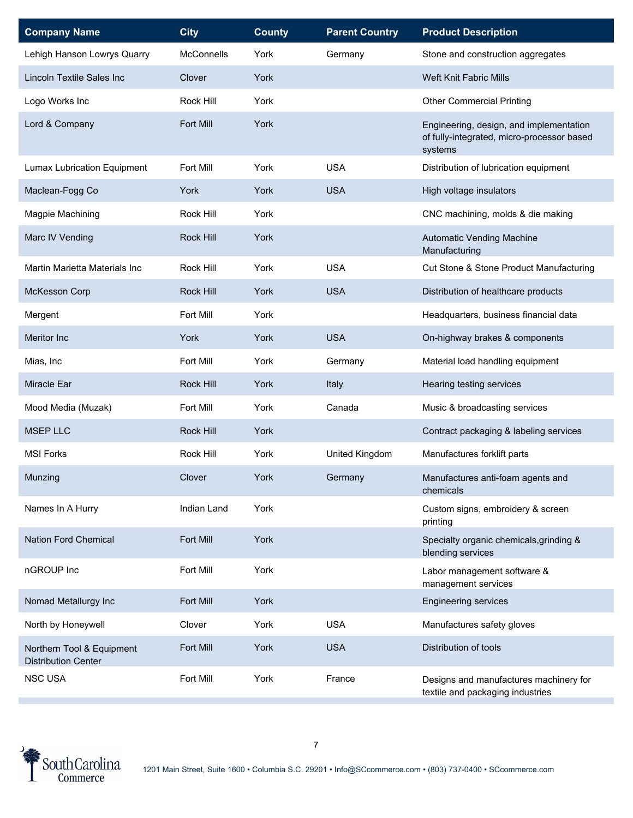| <b>Company Name</b>                                     | <b>City</b>      | <b>County</b> | <b>Parent Country</b> | <b>Product Description</b>                                                                       |
|---------------------------------------------------------|------------------|---------------|-----------------------|--------------------------------------------------------------------------------------------------|
| Lehigh Hanson Lowrys Quarry                             | McConnells       | York          | Germany               | Stone and construction aggregates                                                                |
| Lincoln Textile Sales Inc                               | Clover           | York          |                       | Weft Knit Fabric Mills                                                                           |
| Logo Works Inc                                          | Rock Hill        | York          |                       | <b>Other Commercial Printing</b>                                                                 |
| Lord & Company                                          | Fort Mill        | York          |                       | Engineering, design, and implementation<br>of fully-integrated, micro-processor based<br>systems |
| <b>Lumax Lubrication Equipment</b>                      | Fort Mill        | York          | <b>USA</b>            | Distribution of lubrication equipment                                                            |
| Maclean-Fogg Co                                         | York             | York          | <b>USA</b>            | High voltage insulators                                                                          |
| Magpie Machining                                        | Rock Hill        | York          |                       | CNC machining, molds & die making                                                                |
| Marc IV Vending                                         | Rock Hill        | York          |                       | <b>Automatic Vending Machine</b><br>Manufacturing                                                |
| Martin Marietta Materials Inc                           | Rock Hill        | York          | <b>USA</b>            | Cut Stone & Stone Product Manufacturing                                                          |
| <b>McKesson Corp</b>                                    | <b>Rock Hill</b> | York          | <b>USA</b>            | Distribution of healthcare products                                                              |
| Mergent                                                 | Fort Mill        | York          |                       | Headquarters, business financial data                                                            |
| Meritor Inc                                             | York             | York          | <b>USA</b>            | On-highway brakes & components                                                                   |
| Mias, Inc                                               | Fort Mill        | York          | Germany               | Material load handling equipment                                                                 |
| Miracle Ear                                             | Rock Hill        | York          | Italy                 | Hearing testing services                                                                         |
| Mood Media (Muzak)                                      | Fort Mill        | York          | Canada                | Music & broadcasting services                                                                    |
| <b>MSEP LLC</b>                                         | Rock Hill        | York          |                       | Contract packaging & labeling services                                                           |
| <b>MSI Forks</b>                                        | Rock Hill        | York          | United Kingdom        | Manufactures forklift parts                                                                      |
| Munzing                                                 | Clover           | York          | Germany               | Manufactures anti-foam agents and<br>chemicals                                                   |
| Names In A Hurry                                        | Indian Land      | York          |                       | Custom signs, embroidery & screen<br>printing                                                    |
| <b>Nation Ford Chemical</b>                             | Fort Mill        | York          |                       | Specialty organic chemicals, grinding &<br>blending services                                     |
| nGROUP Inc                                              | Fort Mill        | York          |                       | Labor management software &<br>management services                                               |
| Nomad Metallurgy Inc                                    | Fort Mill        | York          |                       | <b>Engineering services</b>                                                                      |
| North by Honeywell                                      | Clover           | York          | <b>USA</b>            | Manufactures safety gloves                                                                       |
| Northern Tool & Equipment<br><b>Distribution Center</b> | Fort Mill        | York          | <b>USA</b>            | Distribution of tools                                                                            |
| <b>NSC USA</b>                                          | Fort Mill        | York          | France                | Designs and manufactures machinery for<br>textile and packaging industries                       |

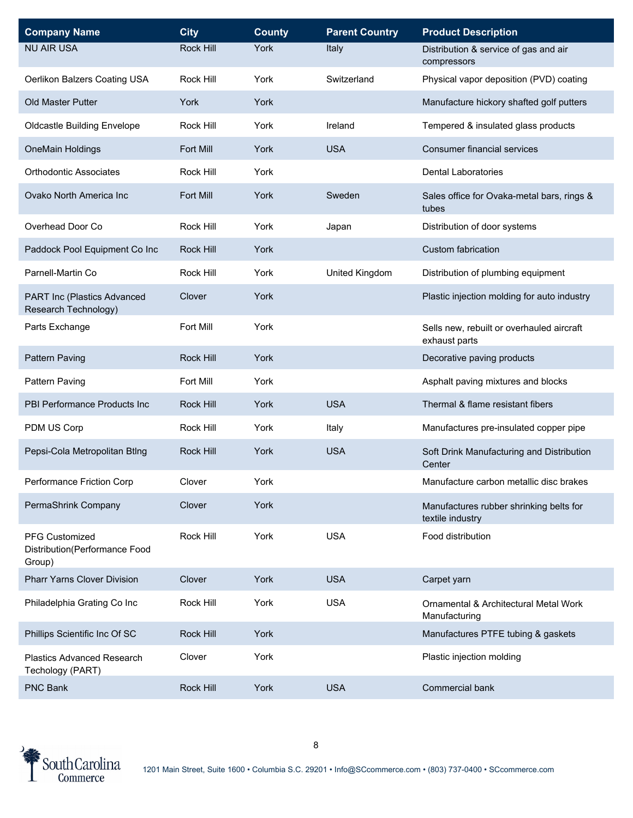| <b>Company Name</b>                                              | <b>City</b>      | <b>County</b> | <b>Parent Country</b> | <b>Product Description</b>                                  |
|------------------------------------------------------------------|------------------|---------------|-----------------------|-------------------------------------------------------------|
| <b>NU AIR USA</b>                                                | <b>Rock Hill</b> | York          | Italy                 | Distribution & service of gas and air<br>compressors        |
| Oerlikon Balzers Coating USA                                     | <b>Rock Hill</b> | York          | Switzerland           | Physical vapor deposition (PVD) coating                     |
| <b>Old Master Putter</b>                                         | York             | York          |                       | Manufacture hickory shafted golf putters                    |
| <b>Oldcastle Building Envelope</b>                               | <b>Rock Hill</b> | York          | Ireland               | Tempered & insulated glass products                         |
| OneMain Holdings                                                 | <b>Fort Mill</b> | York          | <b>USA</b>            | Consumer financial services                                 |
| <b>Orthodontic Associates</b>                                    | <b>Rock Hill</b> | York          |                       | <b>Dental Laboratories</b>                                  |
| Ovako North America Inc                                          | <b>Fort Mill</b> | York          | Sweden                | Sales office for Ovaka-metal bars, rings &<br>tubes         |
| Overhead Door Co                                                 | Rock Hill        | York          | Japan                 | Distribution of door systems                                |
| Paddock Pool Equipment Co Inc                                    | <b>Rock Hill</b> | York          |                       | Custom fabrication                                          |
| Parnell-Martin Co                                                | <b>Rock Hill</b> | York          | United Kingdom        | Distribution of plumbing equipment                          |
| PART Inc (Plastics Advanced<br>Research Technology)              | Clover           | York          |                       | Plastic injection molding for auto industry                 |
| Parts Exchange                                                   | Fort Mill        | York          |                       | Sells new, rebuilt or overhauled aircraft<br>exhaust parts  |
| <b>Pattern Paving</b>                                            | <b>Rock Hill</b> | York          |                       | Decorative paving products                                  |
| Pattern Paving                                                   | Fort Mill        | York          |                       | Asphalt paving mixtures and blocks                          |
| PBI Performance Products Inc                                     | Rock Hill        | York          | <b>USA</b>            | Thermal & flame resistant fibers                            |
| PDM US Corp                                                      | Rock Hill        | York          | Italy                 | Manufactures pre-insulated copper pipe                      |
| Pepsi-Cola Metropolitan Btlng                                    | <b>Rock Hill</b> | York          | <b>USA</b>            | Soft Drink Manufacturing and Distribution<br>Center         |
| Performance Friction Corp                                        | Clover           | York          |                       | Manufacture carbon metallic disc brakes                     |
| PermaShrink Company                                              | Clover           | York          |                       | Manufactures rubber shrinking belts for<br>textile industry |
| <b>PFG Customized</b><br>Distribution(Performance Food<br>Group) | Rock Hill        | York          | <b>USA</b>            | Food distribution                                           |
| <b>Pharr Yarns Clover Division</b>                               | Clover           | York          | <b>USA</b>            | Carpet yarn                                                 |
| Philadelphia Grating Co Inc                                      | Rock Hill        | York          | <b>USA</b>            | Ornamental & Architectural Metal Work<br>Manufacturing      |
| Phillips Scientific Inc Of SC                                    | <b>Rock Hill</b> | York          |                       | Manufactures PTFE tubing & gaskets                          |
| <b>Plastics Advanced Research</b><br>Techology (PART)            | Clover           | York          |                       | Plastic injection molding                                   |
| <b>PNC Bank</b>                                                  | <b>Rock Hill</b> | York          | <b>USA</b>            | Commercial bank                                             |

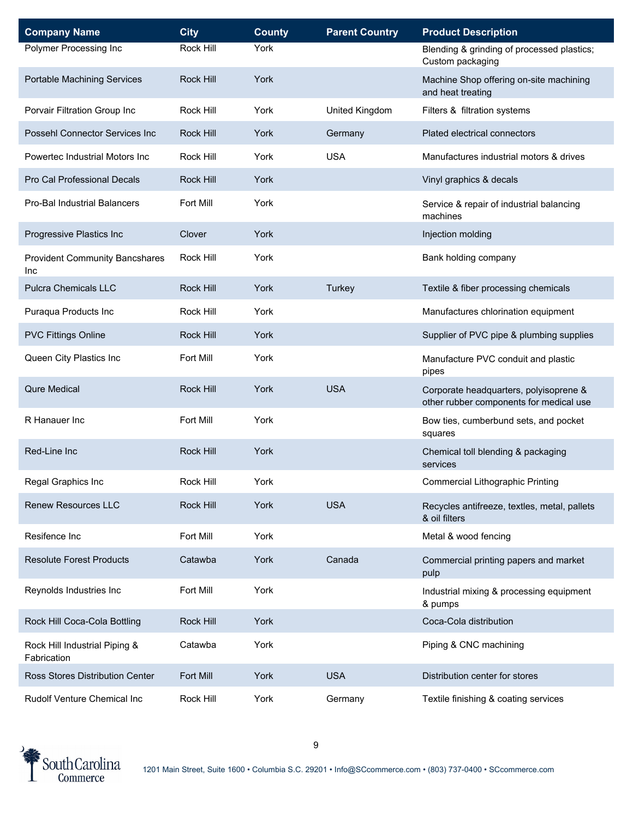| <b>Company Name</b>                          | <b>City</b>      | <b>County</b> | <b>Parent Country</b> | <b>Product Description</b>                                                        |
|----------------------------------------------|------------------|---------------|-----------------------|-----------------------------------------------------------------------------------|
| Polymer Processing Inc                       | Rock Hill        | York          |                       | Blending & grinding of processed plastics;<br>Custom packaging                    |
| <b>Portable Machining Services</b>           | <b>Rock Hill</b> | York          |                       | Machine Shop offering on-site machining<br>and heat treating                      |
| Porvair Filtration Group Inc                 | Rock Hill        | York          | United Kingdom        | Filters & filtration systems                                                      |
| Possehl Connector Services Inc               | <b>Rock Hill</b> | York          | Germany               | Plated electrical connectors                                                      |
| Powertec Industrial Motors Inc               | Rock Hill        | York          | <b>USA</b>            | Manufactures industrial motors & drives                                           |
| Pro Cal Professional Decals                  | <b>Rock Hill</b> | York          |                       | Vinyl graphics & decals                                                           |
| Pro-Bal Industrial Balancers                 | Fort Mill        | York          |                       | Service & repair of industrial balancing<br>machines                              |
| Progressive Plastics Inc                     | Clover           | York          |                       | Injection molding                                                                 |
| <b>Provident Community Bancshares</b><br>Inc | Rock Hill        | York          |                       | Bank holding company                                                              |
| <b>Pulcra Chemicals LLC</b>                  | Rock Hill        | York          | Turkey                | Textile & fiber processing chemicals                                              |
| Puraqua Products Inc                         | Rock Hill        | York          |                       | Manufactures chlorination equipment                                               |
| <b>PVC Fittings Online</b>                   | <b>Rock Hill</b> | York          |                       | Supplier of PVC pipe & plumbing supplies                                          |
| Queen City Plastics Inc                      | Fort Mill        | York          |                       | Manufacture PVC conduit and plastic<br>pipes                                      |
| <b>Qure Medical</b>                          | <b>Rock Hill</b> | York          | <b>USA</b>            | Corporate headquarters, polyisoprene &<br>other rubber components for medical use |
| R Hanauer Inc                                | Fort Mill        | York          |                       | Bow ties, cumberbund sets, and pocket<br>squares                                  |
| Red-Line Inc                                 | <b>Rock Hill</b> | York          |                       | Chemical toll blending & packaging<br>services                                    |
| Regal Graphics Inc                           | Rock Hill        | York          |                       | Commercial Lithographic Printing                                                  |
| <b>Renew Resources LLC</b>                   | Rock Hill        | York          | <b>USA</b>            | Recycles antifreeze, textles, metal, pallets<br>& oil filters                     |
| Resifence Inc                                | Fort Mill        | York          |                       | Metal & wood fencing                                                              |
| <b>Resolute Forest Products</b>              | Catawba          | York          | Canada                | Commercial printing papers and market<br>pulp                                     |
| Reynolds Industries Inc                      | Fort Mill        | York          |                       | Industrial mixing & processing equipment<br>& pumps                               |
| Rock Hill Coca-Cola Bottling                 | Rock Hill        | York          |                       | Coca-Cola distribution                                                            |
| Rock Hill Industrial Piping &<br>Fabrication | Catawba          | York          |                       | Piping & CNC machining                                                            |
| Ross Stores Distribution Center              | Fort Mill        | York          | <b>USA</b>            | Distribution center for stores                                                    |
| Rudolf Venture Chemical Inc                  | Rock Hill        | York          | Germany               | Textile finishing & coating services                                              |

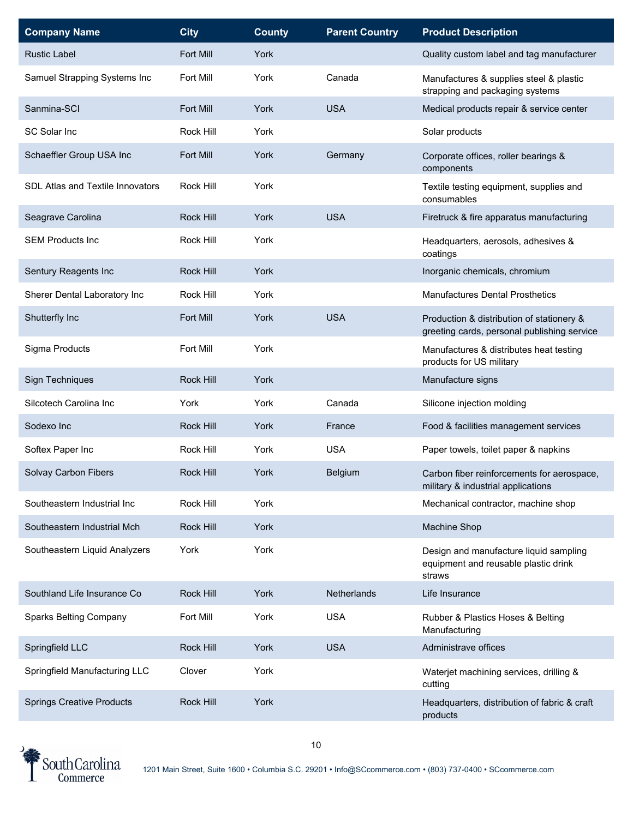| <b>Company Name</b>                     | <b>City</b>      | <b>County</b> | <b>Parent Country</b> | <b>Product Description</b>                                                               |
|-----------------------------------------|------------------|---------------|-----------------------|------------------------------------------------------------------------------------------|
| <b>Rustic Label</b>                     | <b>Fort Mill</b> | York          |                       | Quality custom label and tag manufacturer                                                |
| Samuel Strapping Systems Inc            | Fort Mill        | York          | Canada                | Manufactures & supplies steel & plastic<br>strapping and packaging systems               |
| Sanmina-SCI                             | Fort Mill        | York          | <b>USA</b>            | Medical products repair & service center                                                 |
| SC Solar Inc                            | Rock Hill        | York          |                       | Solar products                                                                           |
| Schaeffler Group USA Inc                | <b>Fort Mill</b> | York          | Germany               | Corporate offices, roller bearings &<br>components                                       |
| <b>SDL Atlas and Textile Innovators</b> | Rock Hill        | York          |                       | Textile testing equipment, supplies and<br>consumables                                   |
| Seagrave Carolina                       | <b>Rock Hill</b> | York          | <b>USA</b>            | Firetruck & fire apparatus manufacturing                                                 |
| <b>SEM Products Inc.</b>                | Rock Hill        | York          |                       | Headquarters, aerosols, adhesives &<br>coatings                                          |
| Sentury Reagents Inc                    | <b>Rock Hill</b> | York          |                       | Inorganic chemicals, chromium                                                            |
| Sherer Dental Laboratory Inc            | Rock Hill        | York          |                       | <b>Manufactures Dental Prosthetics</b>                                                   |
| Shutterfly Inc                          | <b>Fort Mill</b> | York          | <b>USA</b>            | Production & distribution of stationery &<br>greeting cards, personal publishing service |
| Sigma Products                          | Fort Mill        | York          |                       | Manufactures & distributes heat testing<br>products for US military                      |
| Sign Techniques                         | <b>Rock Hill</b> | York          |                       | Manufacture signs                                                                        |
| Silcotech Carolina Inc                  | York             | York          | Canada                | Silicone injection molding                                                               |
| Sodexo Inc                              | <b>Rock Hill</b> | York          | France                | Food & facilities management services                                                    |
| Softex Paper Inc                        | Rock Hill        | York          | <b>USA</b>            | Paper towels, toilet paper & napkins                                                     |
| Solvay Carbon Fibers                    | <b>Rock Hill</b> | York          | Belgium               | Carbon fiber reinforcements for aerospace,<br>military & industrial applications         |
| Southeastern Industrial Inc             | Rock Hill        | York          |                       | Mechanical contractor, machine shop                                                      |
| Southeastern Industrial Mch             | Rock Hill        | York          |                       | Machine Shop                                                                             |
| Southeastern Liquid Analyzers           | York             | York          |                       | Design and manufacture liquid sampling<br>equipment and reusable plastic drink<br>straws |
| Southland Life Insurance Co             | Rock Hill        | York          | Netherlands           | Life Insurance                                                                           |
| Sparks Belting Company                  | Fort Mill        | York          | <b>USA</b>            | Rubber & Plastics Hoses & Belting<br>Manufacturing                                       |
| Springfield LLC                         | <b>Rock Hill</b> | York          | <b>USA</b>            | Administrave offices                                                                     |
| Springfield Manufacturing LLC           | Clover           | York          |                       | Waterjet machining services, drilling &<br>cutting                                       |
| <b>Springs Creative Products</b>        | Rock Hill        | York          |                       | Headquarters, distribution of fabric & craft<br>products                                 |

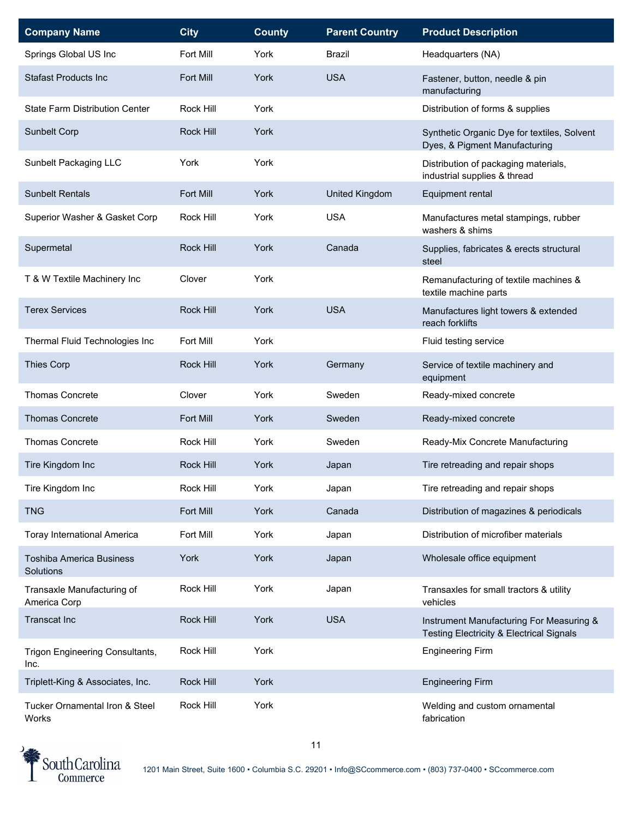| <b>Company Name</b>                          | <b>City</b>      | <b>County</b> | <b>Parent Country</b> | <b>Product Description</b>                                                                      |
|----------------------------------------------|------------------|---------------|-----------------------|-------------------------------------------------------------------------------------------------|
| Springs Global US Inc                        | Fort Mill        | York          | <b>Brazil</b>         | Headquarters (NA)                                                                               |
| <b>Stafast Products Inc</b>                  | Fort Mill        | York          | <b>USA</b>            | Fastener, button, needle & pin<br>manufacturing                                                 |
| State Farm Distribution Center               | Rock Hill        | York          |                       | Distribution of forms & supplies                                                                |
| Sunbelt Corp                                 | <b>Rock Hill</b> | York          |                       | Synthetic Organic Dye for textiles, Solvent<br>Dyes, & Pigment Manufacturing                    |
| Sunbelt Packaging LLC                        | York             | York          |                       | Distribution of packaging materials,<br>industrial supplies & thread                            |
| <b>Sunbelt Rentals</b>                       | Fort Mill        | York          | <b>United Kingdom</b> | Equipment rental                                                                                |
| Superior Washer & Gasket Corp                | Rock Hill        | York          | <b>USA</b>            | Manufactures metal stampings, rubber<br>washers & shims                                         |
| Supermetal                                   | Rock Hill        | York          | Canada                | Supplies, fabricates & erects structural<br>steel                                               |
| T & W Textile Machinery Inc                  | Clover           | York          |                       | Remanufacturing of textile machines &<br>textile machine parts                                  |
| <b>Terex Services</b>                        | Rock Hill        | York          | <b>USA</b>            | Manufactures light towers & extended<br>reach forklifts                                         |
| Thermal Fluid Technologies Inc               | Fort Mill        | York          |                       | Fluid testing service                                                                           |
| <b>Thies Corp</b>                            | <b>Rock Hill</b> | York          | Germany               | Service of textile machinery and<br>equipment                                                   |
| <b>Thomas Concrete</b>                       | Clover           | York          | Sweden                | Ready-mixed concrete                                                                            |
| <b>Thomas Concrete</b>                       | Fort Mill        | York          | Sweden                | Ready-mixed concrete                                                                            |
| <b>Thomas Concrete</b>                       | Rock Hill        | York          | Sweden                | Ready-Mix Concrete Manufacturing                                                                |
| Tire Kingdom Inc                             | <b>Rock Hill</b> | York          | Japan                 | Tire retreading and repair shops                                                                |
| Tire Kingdom Inc                             | Rock Hill        | York          | Japan                 | Tire retreading and repair shops                                                                |
| <b>TNG</b>                                   | Fort Mill        | York          | Canada                | Distribution of magazines & periodicals                                                         |
| <b>Toray International America</b>           | Fort Mill        | York          | Japan                 | Distribution of microfiber materials                                                            |
| <b>Toshiba America Business</b><br>Solutions | York             | York          | Japan                 | Wholesale office equipment                                                                      |
| Transaxle Manufacturing of<br>America Corp   | Rock Hill        | York          | Japan                 | Transaxles for small tractors & utility<br>vehicles                                             |
| <b>Transcat Inc</b>                          | Rock Hill        | York          | <b>USA</b>            | Instrument Manufacturing For Measuring &<br><b>Testing Electricity &amp; Electrical Signals</b> |
| Trigon Engineering Consultants,<br>Inc.      | Rock Hill        | York          |                       | <b>Engineering Firm</b>                                                                         |
| Triplett-King & Associates, Inc.             | Rock Hill        | York          |                       | <b>Engineering Firm</b>                                                                         |
| Tucker Ornamental Iron & Steel<br>Works      | Rock Hill        | York          |                       | Welding and custom ornamental<br>fabrication                                                    |

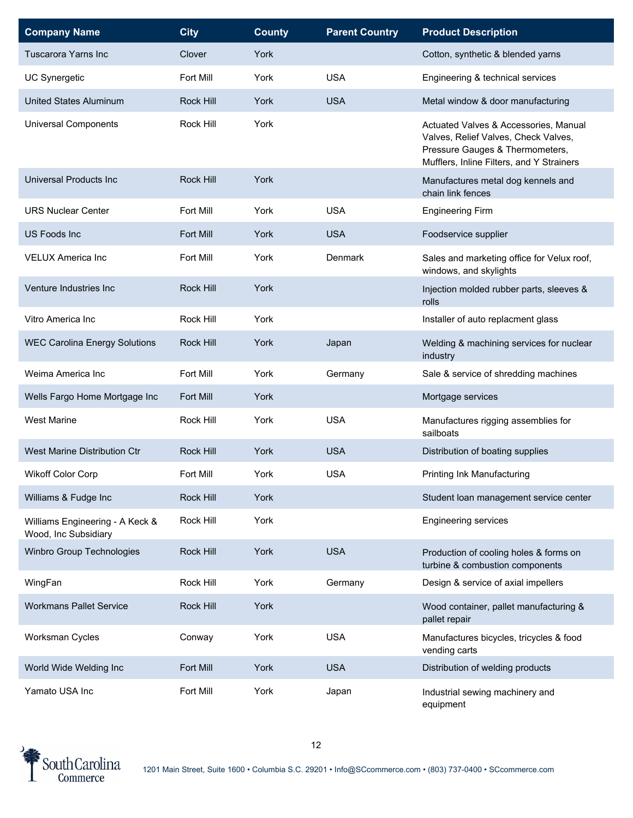| <b>Company Name</b>                                     | <b>City</b>      | <b>County</b> | <b>Parent Country</b> | <b>Product Description</b>                                                                                                                                    |
|---------------------------------------------------------|------------------|---------------|-----------------------|---------------------------------------------------------------------------------------------------------------------------------------------------------------|
| Tuscarora Yarns Inc                                     | Clover           | York          |                       | Cotton, synthetic & blended yarns                                                                                                                             |
| <b>UC Synergetic</b>                                    | Fort Mill        | York          | <b>USA</b>            | Engineering & technical services                                                                                                                              |
| <b>United States Aluminum</b>                           | <b>Rock Hill</b> | York          | <b>USA</b>            | Metal window & door manufacturing                                                                                                                             |
| <b>Universal Components</b>                             | Rock Hill        | York          |                       | Actuated Valves & Accessories, Manual<br>Valves, Relief Valves, Check Valves,<br>Pressure Gauges & Thermometers,<br>Mufflers, Inline Filters, and Y Strainers |
| Universal Products Inc                                  | <b>Rock Hill</b> | York          |                       | Manufactures metal dog kennels and<br>chain link fences                                                                                                       |
| <b>URS Nuclear Center</b>                               | Fort Mill        | York          | <b>USA</b>            | <b>Engineering Firm</b>                                                                                                                                       |
| <b>US Foods Inc</b>                                     | Fort Mill        | York          | <b>USA</b>            | Foodservice supplier                                                                                                                                          |
| <b>VELUX America Inc</b>                                | Fort Mill        | York          | Denmark               | Sales and marketing office for Velux roof,<br>windows, and skylights                                                                                          |
| Venture Industries Inc                                  | Rock Hill        | York          |                       | Injection molded rubber parts, sleeves &<br>rolls                                                                                                             |
| Vitro America Inc                                       | Rock Hill        | York          |                       | Installer of auto replacment glass                                                                                                                            |
| <b>WEC Carolina Energy Solutions</b>                    | Rock Hill        | York          | Japan                 | Welding & machining services for nuclear<br>industry                                                                                                          |
| Weima America Inc                                       | Fort Mill        | York          | Germany               | Sale & service of shredding machines                                                                                                                          |
| Wells Fargo Home Mortgage Inc                           | Fort Mill        | York          |                       | Mortgage services                                                                                                                                             |
| <b>West Marine</b>                                      | Rock Hill        | York          | <b>USA</b>            | Manufactures rigging assemblies for<br>sailboats                                                                                                              |
| <b>West Marine Distribution Ctr</b>                     | <b>Rock Hill</b> | York          | <b>USA</b>            | Distribution of boating supplies                                                                                                                              |
| Wikoff Color Corp                                       | Fort Mill        | York          | <b>USA</b>            | Printing Ink Manufacturing                                                                                                                                    |
| Williams & Fudge Inc                                    | Rock Hill        | York          |                       | Student loan management service center                                                                                                                        |
| Williams Engineering - A Keck &<br>Wood, Inc Subsidiary | Rock Hill        | York          |                       | <b>Engineering services</b>                                                                                                                                   |
| Winbro Group Technologies                               | Rock Hill        | York          | <b>USA</b>            | Production of cooling holes & forms on<br>turbine & combustion components                                                                                     |
| WingFan                                                 | Rock Hill        | York          | Germany               | Design & service of axial impellers                                                                                                                           |
| <b>Workmans Pallet Service</b>                          | <b>Rock Hill</b> | York          |                       | Wood container, pallet manufacturing &<br>pallet repair                                                                                                       |
| Worksman Cycles                                         | Conway           | York          | <b>USA</b>            | Manufactures bicycles, tricycles & food<br>vending carts                                                                                                      |
| World Wide Welding Inc                                  | Fort Mill        | York          | <b>USA</b>            | Distribution of welding products                                                                                                                              |
| Yamato USA Inc                                          | Fort Mill        | York          | Japan                 | Industrial sewing machinery and<br>equipment                                                                                                                  |